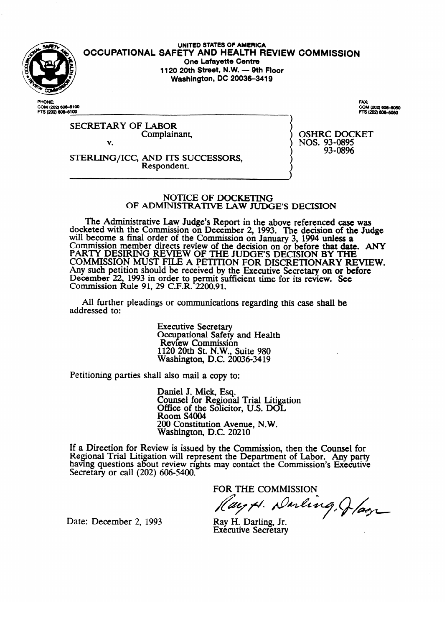

UNITED STATES OF AMERICA **OCCUPATIONAL SAFETY AND HEALTH REVIEW COMMISSION**<br>One Lafayette Centre 1120 20th Street, N.W. - 9th Floor **1120 20th %'88t, NJ/V. - 9th Floor Washington,** DC **20036-3419** 

PHOME COM (202) 606-6100<br>FTS (202) 606-6100 COM (202) 606-5050 FTS (202) 606-5060

SECRETARY OF LABOR Complainant, V.

v. Respondent.

Respondent.

OSHRC DOCKET<br>NOS. 93-0895 93-0896  $\frac{3}{5}$ 

#### NOTICE OF DOCKETING OF ADMINISTRATIVE LAW JUDGE'S DECISION

The Administrative Law Judge's Report in the above referenced case was reted with the Commission on December 2, 1993. The decision of the Jud will become a final order of the Commission on January 3, 1994 unless a commission of the Judge 2. Commission member directs review of the decision on or before that date<br>RA RTV DESIRBO REVIEW OF THE HEOFIS REGISTAL BY THE PARTY DESIRING REVIEW OF THE JUDGE'S DECISION BY THE<br>COMMISSION MUST FILE A BETTION FOR DISCRETIONARY REVIEW. COMMISSION MUST FILE A PETITION FOR DISCRETIONARY RE Any such petition should be received by the Executive Secretary on or before December 22, 1993 in order to permit sufficient time for its review. See Commission Rule 91, 29 C.F.R.  $2200.91$ .

All further pleadings or communications regarding this case shall be  $A$  further pleading or communications regarding the communications regarding the case shall be shall be shall be shall be shall be shall be shall be shall be shall be shall be shall be shall be shall be shall be shall be

> **Executive Secretary** Secapational Safety<br>Review Commissio  $1120$  20th St. N.W., Suite 980 Nashington, D.C. 200  $\ldots$   $\ldots$   $\ldots$   $\ldots$   $\ldots$   $\ldots$

Petitioning parties shall also mail a copy to:

Daniel J. Mick, Esq.<br>Counsel for Regional Trial Litigation Office of the Solicitor, U.S. DOL Room S4004 200 Constitution Avenue, N.W. Washington, D.C. 20210

 $200$  Constitution Avenue,  $\alpha$  $ew$  is issued by the Comn having questions about review rights may contact the Commission's Executive<br>Secretary of sell (200) 606 5400 Secretary or call  $(202)$  606-5400.

 $\mathbf{F}$  about  $\mathbf{F}$  about  $\mathbf{F}$  about  $\mathbf{F}$  about  $\mathbf{F}$  about  $\mathbf{F}$  about  $\mathbf{F}$  about  $\mathbf{F}$  about  $\mathbf{F}$  about  $\mathbf{F}$  about  $\mathbf{F}$  about  $\mathbf{F}$  about  $\mathbf{F}$  about  $\mathbf{F}$  about  $\mathbf{F}$  ab

Ray T. Raun **J<sub>r.</sub>**<br> **Example 20**<br> **Example 20** 

Date: December 2, 1993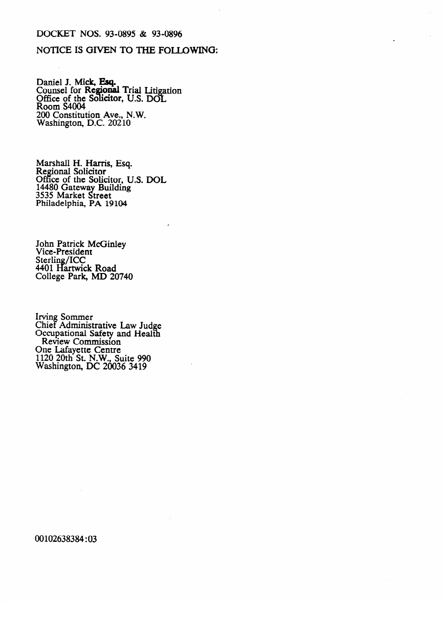#### DOCKET NOS. 93-0895 & 93-0896

## NOTICE IS GIVEN TO THE FOLLOWING:

Daniel J. Mick, Esq.<br>Counsel for Regional Trial Litigation<br>Office of the Solicitor, U.S. DOL<br>Room S4004 200 Constitution Ave., N.W.<br>Washington, D.C. 20210

Marshall H. Harris, Esq.<br>Regional Solicitor<br>Office of the Solicitor, U.S. DOL<br>14480 Gateway Building<br>3535 Market Street<br>Bhilodalabia RA 10104 Philadelphia, PA 19104

John Patrick McGinley<br>Vice-President Sterling/ICC<br>4401 Hartwick Road College Park, MD 20740

Irving Sommer<br>Chief Administrative Law Judge<br>Occupational Safety and Health<br>Review Commission One Lafayette Centre<br>1120 20th St. N.W., Suite 990<br>Washington, DC 20036 3419

00102638384:03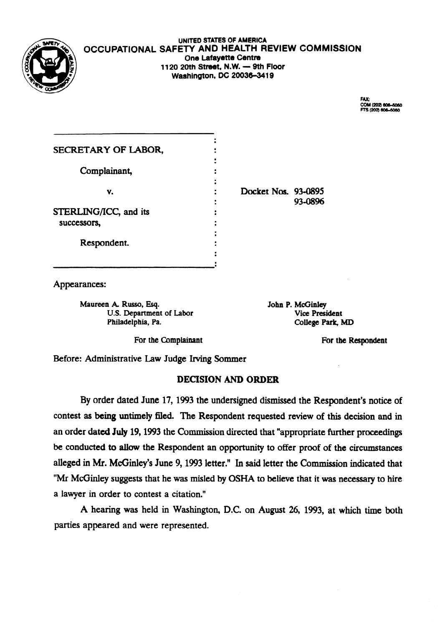

### UNITED STATES OF AMERICA OCCUPATIONAL SAFETY AND HEALTH REVIEW COMMISSION **One Lafayette Centre 1120 20th Street, N.W. - 9th Floor Washington, DC 20036-3419**

FAX: COM (202) 606-5050 \$12021606-6060

| SECRETARY OF LABOR,   |                     |         |
|-----------------------|---------------------|---------|
| Complainant,          |                     |         |
|                       |                     |         |
| v.                    | Docket Nos. 93-0895 | 93-0896 |
| STERLING/ICC, and its |                     |         |
| successors,           |                     |         |
| Respondent.           |                     |         |
|                       |                     |         |

Appearances:

Maureen A. Russo, Esq. John P. McGinley<br>U.S. Department of Labor Vice President U.S. Department of Labor Philadelphia, Pa. College Park, MD

For the Complainant For the Respondent

Before: Administrative Law Judge Irving Sommer

# DECISION AND ORDER

By order dated June 17, 1993 the undersigned dismissed the Respondent's notice of contest as being untimely filed. The Respondent requested review of this decision and in an order dated July 19,1993 the Commission directed that "appropriate further proceedings be conducted to allow the Respondent an opportunity to offer proof of the circumstances alleged in Mr. McGinley's June 9,1993 letter." In said letter the Commission indicated that "Mr McGinley suggests that he was misled by OSHA to believe that it was necessary to hire a lawyer in order to contest a citation."

A hearing was held in Washington, DC. on August 26, 1993, at which time both parties appeared and were represented.